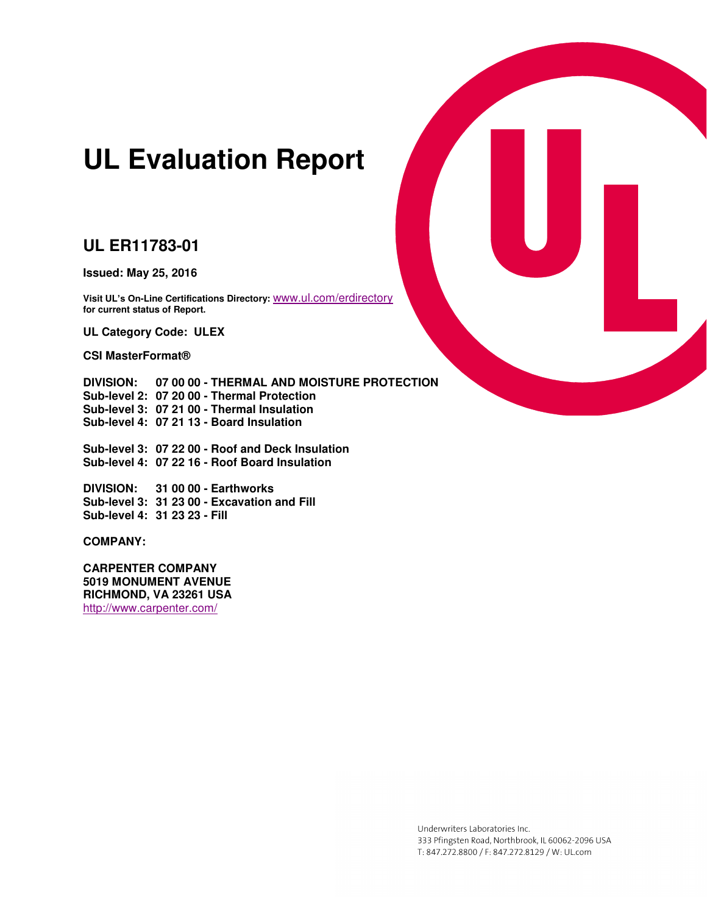# **UL Evaluation Report**

## **UL ER11783-01**

**Issued: May 25, 2016** 

**Visit UL's On-Line Certifications Directory:** [www.ul.com/erdirectory](http://www.ul.com/erdirectory) **for current status of Report.** 

**UL Category Code: ULEX** 

**CSI MasterFormat®**

**DIVISION: 07 00 00 - THERMAL AND MOISTURE PROTECTION Sub-level 2: 07 20 00 - Thermal Protection Sub-level 3: 07 21 00 - Thermal Insulation Sub-level 4: 07 21 13 - Board Insulation** 

**Sub-level 3: 07 22 00 - Roof and Deck Insulation Sub-level 4: 07 22 16 - Roof Board Insulation** 

**DIVISION: 31 00 00 - Earthworks Sub-level 3: 31 23 00 - Excavation and Fill Sub-level 4: 31 23 23 - Fill** 

**COMPANY:** 

**CARPENTER COMPANY 5019 MONUMENT AVENUE RICHMOND, VA 23261 USA**  <http://www.carpenter.com/>



Underwriters Laboratories Inc. 333 Pfingsten Road, Northbrook, IL 60062-2096 USA T: 847.272.8800 / F: 847.272.8129 / W: UL.com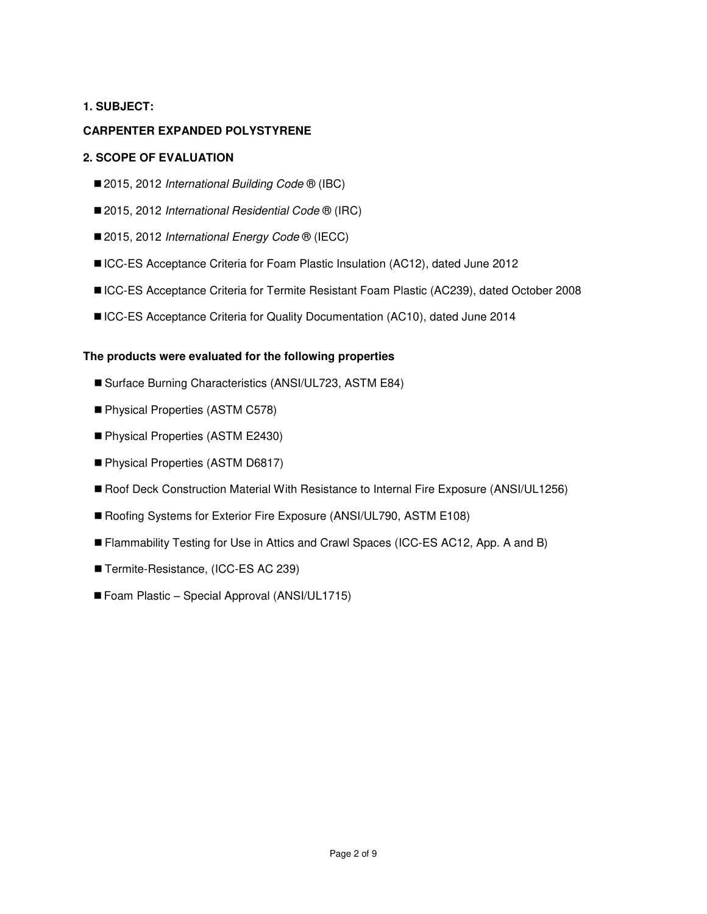## **1. SUBJECT:**

## **CARPENTER EXPANDED POLYSTYRENE**

## **2. SCOPE OF EVALUATION**

- 2015, 2012 *International Building Code* <sup>®</sup> (IBC)
- 2015, 2012 *International Residential Code* <sup>®</sup> (IRC)
- 2015, 2012 *International Energy Code* <sup>®</sup> (IECC)
- ■ICC-ES Acceptance Criteria for Foam Plastic Insulation (AC12), dated June 2012
- ICC-ES Acceptance Criteria for Termite Resistant Foam Plastic (AC239), dated October 2008
- ICC-ES Acceptance Criteria for Quality Documentation (AC10), dated June 2014

#### **The products were evaluated for the following properties**

- Surface Burning Characteristics (ANSI/UL723, ASTM E84)
- Physical Properties (ASTM C578)
- Physical Properties (ASTM E2430)
- Physical Properties (ASTM D6817)
- Roof Deck Construction Material With Resistance to Internal Fire Exposure (ANSI/UL1256)
- Roofing Systems for Exterior Fire Exposure (ANSI/UL790, ASTM E108)
- Flammability Testing for Use in Attics and Crawl Spaces (ICC-ES AC12, App. A and B)
- Termite-Resistance, (ICC-ES AC 239)
- Foam Plastic Special Approval (ANSI/UL1715)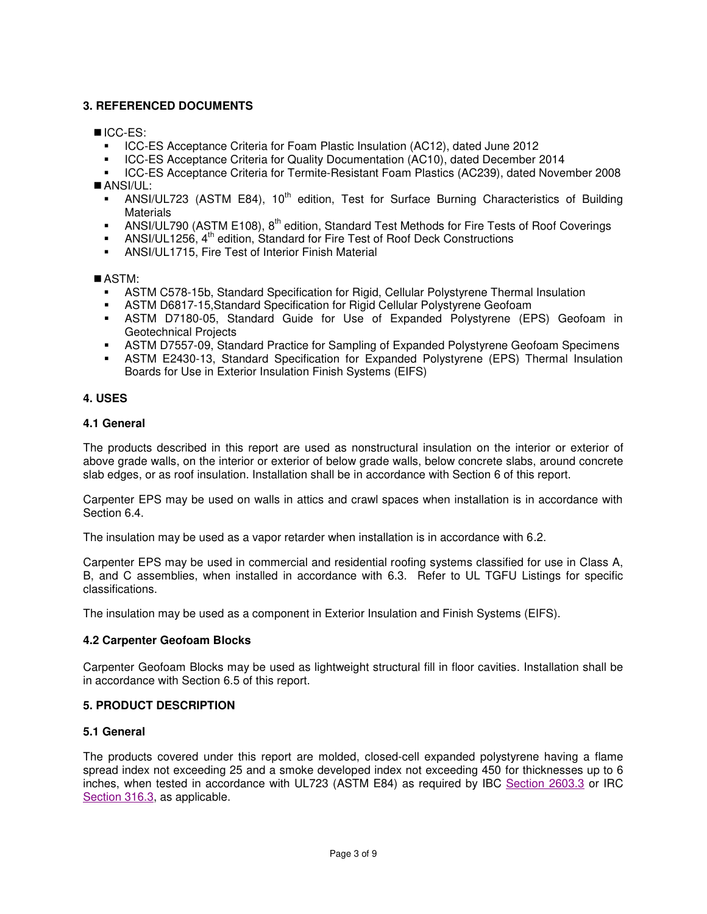## **3. REFERENCED DOCUMENTS**

## ICC-ES:

- ICC-ES Acceptance Criteria for Foam Plastic Insulation (AC12), dated June 2012
- **ICC-ES Acceptance Criteria for Quality Documentation (AC10), dated December 2014**
- ICC-ES Acceptance Criteria for Termite-Resistant Foam Plastics (AC239), dated November 2008 ANSI/UL:
	- ANSI/UL723 (ASTM E84),  $10^{th}$  edition, Test for Surface Burning Characteristics of Building **Materials**
	- ANSI/UL790 (ASTM E108),  $8<sup>th</sup>$  edition, Standard Test Methods for Fire Tests of Roof Coverings
- **ANSI/UL1256,**  $4^{\text{th}}$  **edition, Standard for Fire Test of Roof Deck Constructions**
- ANSI/UL1715, Fire Test of Interior Finish Material

## ASTM:

- ASTM C578-15b, Standard Specification for Rigid, Cellular Polystyrene Thermal Insulation
- ASTM D6817-15,Standard Specification for Rigid Cellular Polystyrene Geofoam
- ASTM D7180-05, Standard Guide for Use of Expanded Polystyrene (EPS) Geofoam in Geotechnical Projects
- **ASTM D7557-09, Standard Practice for Sampling of Expanded Polystyrene Geofoam Specimens**
- ASTM E2430-13, Standard Specification for Expanded Polystyrene (EPS) Thermal Insulation Boards for Use in Exterior Insulation Finish Systems (EIFS)

## **4. USES**

#### **4.1 General**

The products described in this report are used as nonstructural insulation on the interior or exterior of above grade walls, on the interior or exterior of below grade walls, below concrete slabs, around concrete slab edges, or as roof insulation. Installation shall be in accordance with Section 6 of this report.

Carpenter EPS may be used on walls in attics and crawl spaces when installation is in accordance with Section 6.4.

The insulation may be used as a vapor retarder when installation is in accordance with 6.2.

Carpenter EPS may be used in commercial and residential roofing systems classified for use in Class A, B, and C assemblies, when installed in accordance with 6.3. Refer to UL TGFU Listings for specific classifications.

The insulation may be used as a component in Exterior Insulation and Finish Systems (EIFS).

## **4.2 Carpenter Geofoam Blocks**

Carpenter Geofoam Blocks may be used as lightweight structural fill in floor cavities. Installation shall be in accordance with Section 6.5 of this report.

## **5. PRODUCT DESCRIPTION**

## **5.1 General**

The products covered under this report are molded, closed-cell expanded polystyrene having a flame spread index not exceeding 25 and a smoke developed index not exceeding 450 for thicknesses up to 6 inches, when tested in accordance with UL723 (ASTM E84) as required by IBC [Section 2603.3](http://publicecodes.cyberregs.com/icod/ibc/2012/icod_ibc_2012_26_par005.htm) or IRC [Section 316.3,](http://publicecodes.cyberregs.com/icod/irc/2012/icod_irc_2012_3_par210.htm) as applicable.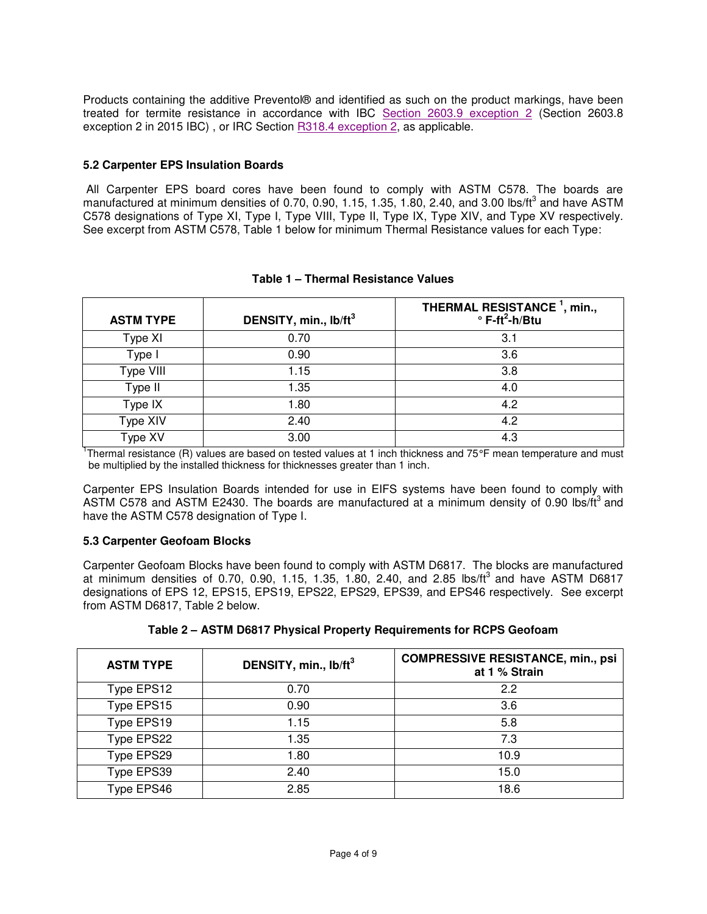Products containing the additive Preventol® and identified as such on the product markings, have been treated for termite resistance in accordance with IBC [Section 2603.9 exception 2](http://publicecodes.cyberregs.com/icod/ibc/2012/icod_ibc_2012_26_par033.htm) (Section 2603.8 exception 2 in 2015 IBC), or IRC Section **R318.4** exception 2, as applicable.

#### **5.2 Carpenter EPS Insulation Boards**

 All Carpenter EPS board cores have been found to comply with ASTM C578. The boards are manufactured at minimum densities of 0.70, 0.90, 1.15, 1.35, 1.80, 2.40, and 3.00 lbs/ft<sup>3</sup> and have ASTM C578 designations of Type XI, Type I, Type VIII, Type II, Type IX, Type XIV, and Type XV respectively. See excerpt from ASTM C578, Table 1 below for minimum Thermal Resistance values for each Type:

| <b>ASTM TYPE</b>     | DENSITY, min., lb/ft <sup>3</sup> | THERMAL RESISTANCE <sup>1</sup> , min.,<br>$\degree$ F-ft <sup>2</sup> -h/Btu |
|----------------------|-----------------------------------|-------------------------------------------------------------------------------|
| Type XI              | 0.70                              | 3.1                                                                           |
| Type I               | 0.90                              | 3.6                                                                           |
| Type VIII            | 1.15                              | 3.8                                                                           |
| Type II              | 1.35                              | 4.0                                                                           |
| Type IX              | 1.80                              | 4.2                                                                           |
| Type XIV             | 2.40                              | 4.2                                                                           |
| Type $X\overline{V}$ | 3.00                              | 4.3                                                                           |

#### **Table 1 – Thermal Resistance Values**

<sup>1</sup>Thermal resistance (R) values are based on tested values at 1 inch thickness and 75°F mean temperature and must be multiplied by the installed thickness for thicknesses greater than 1 inch.

Carpenter EPS Insulation Boards intended for use in EIFS systems have been found to comply with ASTM C578 and ASTM E2430. The boards are manufactured at a minimum density of 0.90 lbs/ft<sup>3</sup> and have the ASTM C578 designation of Type I.

#### **5.3 Carpenter Geofoam Blocks**

Carpenter Geofoam Blocks have been found to comply with ASTM D6817. The blocks are manufactured at minimum densities of 0.70, 0.90, 1.15, 1.35, 1.80, 2.40, and 2.85 lbs/ft<sup>3</sup> and have ASTM D6817 designations of EPS 12, EPS15, EPS19, EPS22, EPS29, EPS39, and EPS46 respectively. See excerpt from ASTM D6817, Table 2 below.

|  | Table 2 - ASTM D6817 Physical Property Requirements for RCPS Geofoam |
|--|----------------------------------------------------------------------|
|--|----------------------------------------------------------------------|

| <b>ASTM TYPE</b> | DENSITY, min., lb/ft <sup>3</sup> | <b>COMPRESSIVE RESISTANCE, min., psi</b><br>at 1 % Strain |
|------------------|-----------------------------------|-----------------------------------------------------------|
| Type EPS12       | 0.70                              | 2.2                                                       |
| Type EPS15       | 0.90                              | 3.6                                                       |
| Type EPS19       | 1.15                              | 5.8                                                       |
| Type EPS22       | 1.35                              | 7.3                                                       |
| Type EPS29       | 1.80                              | 10.9                                                      |
| Type EPS39       | 2.40                              | 15.0                                                      |
| Type EPS46       | 2.85                              | 18.6                                                      |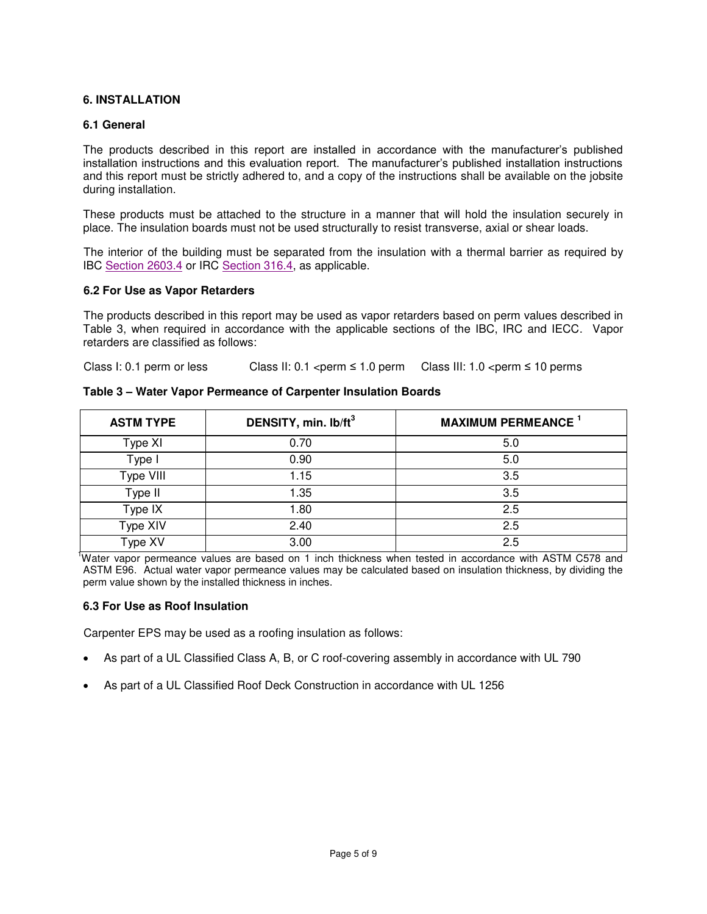#### **6. INSTALLATION**

#### **6.1 General**

The products described in this report are installed in accordance with the manufacturer's published installation instructions and this evaluation report. The manufacturer's published installation instructions and this report must be strictly adhered to, and a copy of the instructions shall be available on the jobsite during installation.

These products must be attached to the structure in a manner that will hold the insulation securely in place. The insulation boards must not be used structurally to resist transverse, axial or shear loads.

The interior of the building must be separated from the insulation with a thermal barrier as required by IBC [Section 2603.4](http://publicecodes.cyberregs.com/icod/ibc/2012/icod_ibc_2012_26_par006.htm) or IRC [Section 316.4,](http://publicecodes.cyberregs.com/icod/irc/2012/icod_irc_2012_3_par211.htm) as applicable.

#### **6.2 For Use as Vapor Retarders**

The products described in this report may be used as vapor retarders based on perm values described in Table 3, when required in accordance with the applicable sections of the IBC, IRC and IECC. Vapor retarders are classified as follows:

Class I: 0.1 perm or less Class II: 0.1 <perm  $\leq$  1.0 perm Class III: 1.0 <perm  $\leq$  10 perms

| <b>ASTM TYPE</b> | DENSITY, min. lb/ft <sup>3</sup> | <b>MAXIMUM PERMEANCE</b> <sup>1</sup> |
|------------------|----------------------------------|---------------------------------------|
| Type XI          | 0.70                             | 5.0                                   |
| Type I           | 0.90                             | 5.0                                   |
| Type VIII        | 1.15                             | 3.5                                   |
| Type II          | 1.35                             | 3.5                                   |
| Type IX          | 1.80                             | 2.5                                   |
| Type XIV         | 2.40                             | 2.5                                   |
| Type XV          | 3.00                             | 2.5                                   |

**Table 3 – Water Vapor Permeance of Carpenter Insulation Boards** 

<sup>1</sup>Water vapor permeance values are based on 1 inch thickness when tested in accordance with ASTM C578 and ASTM E96. Actual water vapor permeance values may be calculated based on insulation thickness, by dividing the perm value shown by the installed thickness in inches.

#### **6.3 For Use as Roof Insulation**

Carpenter EPS may be used as a roofing insulation as follows:

- As part of a UL Classified Class A, B, or C roof-covering assembly in accordance with UL 790
- As part of a UL Classified Roof Deck Construction in accordance with UL 1256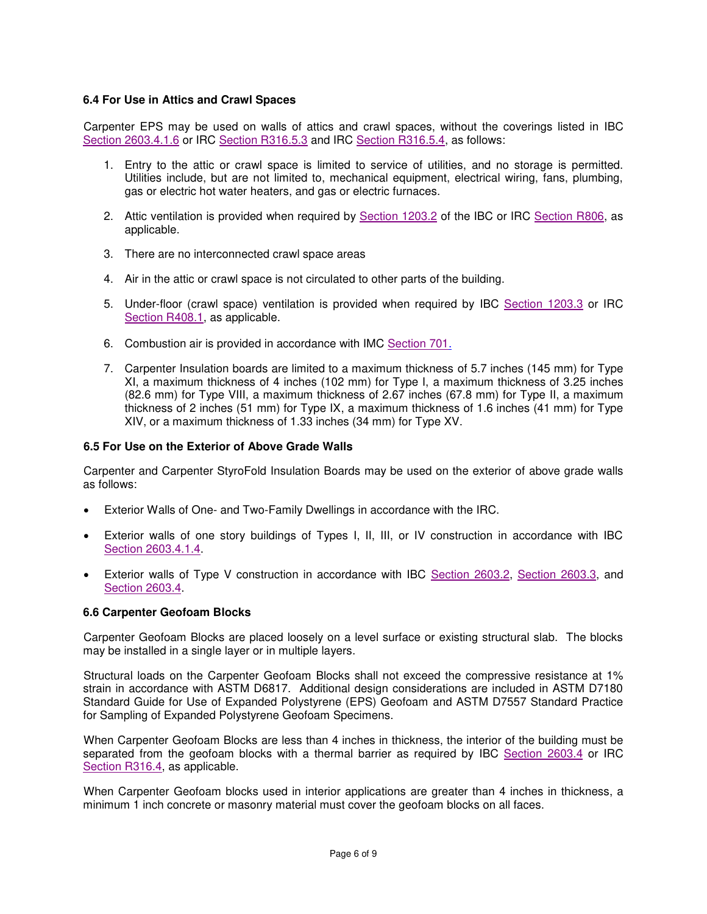#### **6.4 For Use in Attics and Crawl Spaces**

Carpenter EPS may be used on walls of attics and crawl spaces, without the coverings listed in IBC [Section 2603.4.1.6](http://publicecodes.cyberregs.com/icod/ibc/2012/icod_ibc_2012_26_par013.htm) or IRC [Section R316.5.3](http://publicecodes.cyberregs.com/icod/irc/2012/icod_irc_2012_3_par215.htm) and IRC [Section R316.5.4,](http://publicecodes.cyberregs.com/icod/irc/2012/icod_irc_2012_3_par216.htm) as follows:

- 1. Entry to the attic or crawl space is limited to service of utilities, and no storage is permitted. Utilities include, but are not limited to, mechanical equipment, electrical wiring, fans, plumbing, gas or electric hot water heaters, and gas or electric furnaces.
- 2. Attic ventilation is provided when required by [Section 1203.2](http://publicecodes.cyberregs.com/icod/ibc/2012/icod_ibc_2012_12_par004.htm) of the IBC or IRC [Section R806,](http://publicecodes.cyberregs.com/icod/irc/2012/icod_irc_2012_8_sec006.htm) as applicable.
- 3. There are no interconnected crawl space areas
- 4. Air in the attic or crawl space is not circulated to other parts of the building.
- 5. Under-floor (crawl space) ventilation is provided when required by IBC [Section 1203.3](http://publicecodes.cyberregs.com/icod/ibc/2012/icod_ibc_2012_12_par006.htm) or IRC [Section R408.1,](http://publicecodes.cyberregs.com/icod/irc/2012/icod_irc_2012_4_par117.htm) as applicable.
- 6. Combustion air is provided in accordance with IMC [Section 701.](http://publicecodes.cyberregs.com/icod/imc/2012/icod_imc_2012_7_sec001.htm)
- 7. Carpenter Insulation boards are limited to a maximum thickness of 5.7 inches (145 mm) for Type XI, a maximum thickness of 4 inches (102 mm) for Type I, a maximum thickness of 3.25 inches (82.6 mm) for Type VIII, a maximum thickness of 2.67 inches (67.8 mm) for Type II, a maximum thickness of 2 inches (51 mm) for Type IX, a maximum thickness of 1.6 inches (41 mm) for Type XIV, or a maximum thickness of 1.33 inches (34 mm) for Type XV.

#### **6.5 For Use on the Exterior of Above Grade Walls**

Carpenter and Carpenter StyroFold Insulation Boards may be used on the exterior of above grade walls as follows:

- Exterior Walls of One- and Two-Family Dwellings in accordance with the IRC.
- Exterior walls of one story buildings of Types I, II, III, or IV construction in accordance with IBC [Section 2603.4.1.4.](http://publicecodes.cyberregs.com/icod/ibc/2012/icod_ibc_2012_26_par011.htm)
- Exterior walls of Type V construction in accordance with IBC [Section 2603.2, Section 2603.3,](http://publicecodes.cyberregs.com/icod/ibc/2012/icod_ibc_2012_26_par004.htm) and [Section 2603.4.](http://publicecodes.cyberregs.com/icod/ibc/2012/icod_ibc_2012_26_par006.htm)

#### **6.6 Carpenter Geofoam Blocks**

Carpenter Geofoam Blocks are placed loosely on a level surface or existing structural slab. The blocks may be installed in a single layer or in multiple layers.

Structural loads on the Carpenter Geofoam Blocks shall not exceed the compressive resistance at 1% strain in accordance with ASTM D6817. Additional design considerations are included in ASTM D7180 Standard Guide for Use of Expanded Polystyrene (EPS) Geofoam and ASTM D7557 Standard Practice for Sampling of Expanded Polystyrene Geofoam Specimens.

When Carpenter Geofoam Blocks are less than 4 inches in thickness, the interior of the building must be separated from the geofoam blocks with a thermal barrier as required by IBC [Section 2603.4](http://publicecodes.cyberregs.com/icod/ibc/2012/icod_ibc_2012_26_par006.htm) or IRC [Section R316.4,](http://publicecodes.cyberregs.com/icod/irc/2012/icod_irc_2012_3_par211.htm) as applicable.

When Carpenter Geofoam blocks used in interior applications are greater than 4 inches in thickness, a minimum 1 inch concrete or masonry material must cover the geofoam blocks on all faces.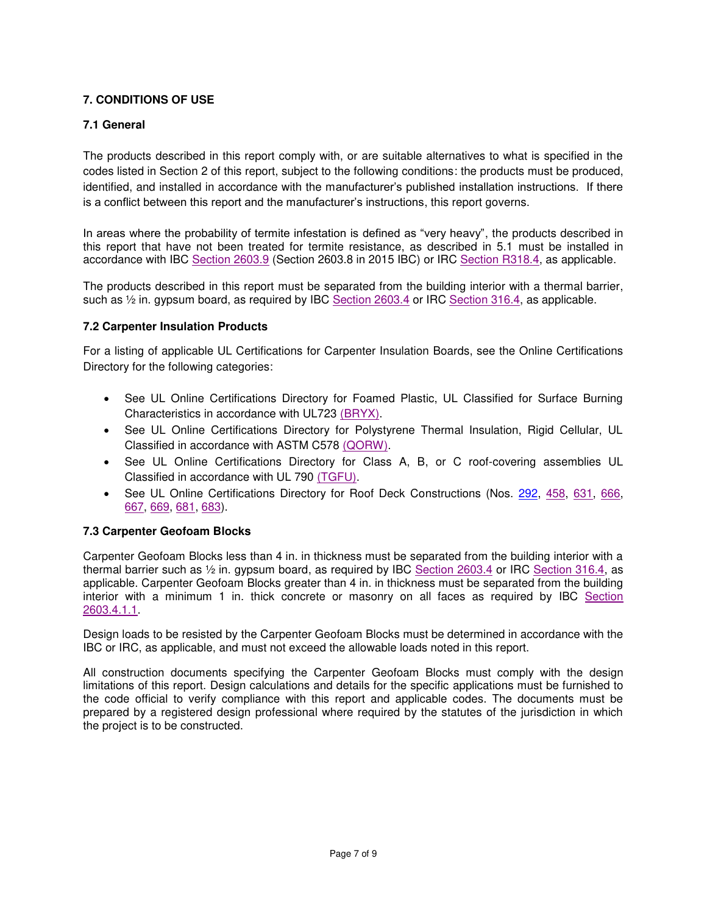## **7. CONDITIONS OF USE**

## **7.1 General**

The products described in this report comply with, or are suitable alternatives to what is specified in the codes listed in Section 2 of this report, subject to the following conditions: the products must be produced, identified, and installed in accordance with the manufacturer's published installation instructions. If there is a conflict between this report and the manufacturer's instructions, this report governs.

In areas where the probability of termite infestation is defined as "very heavy", the products described in this report that have not been treated for termite resistance, as described in 5.1 must be installed in accordance with IBC [Section 2603.9](http://publicecodes.cyberregs.com/icod/ibc/2012/icod_ibc_2012_26_par033.htm) (Section 2603.8 in 2015 IBC) or IRC [Section R318.4,](http://publicecodes.cyberregs.com/icod/irc/2012/icod_irc_2012_3_par249.htm) as applicable.

The products described in this report must be separated from the building interior with a thermal barrier, such as  $\frac{1}{2}$  in. gypsum board, as required by IBC [Section 2603.4](http://publicecodes.cyberregs.com/icod/ibc/2012/icod_ibc_2012_26_par006.htm) or IRC [Section 316.4,](http://publicecodes.cyberregs.com/icod/irc/2012/icod_irc_2012_3_par211.htm) as applicable.

## **7.2 Carpenter Insulation Products**

For a listing of applicable UL Certifications for Carpenter Insulation Boards, see the Online Certifications Directory for the following categories:

- See UL Online Certifications Directory for Foamed Plastic, UL Classified for Surface Burning Characteristics in accordance with UL723 [\(BRYX\).](http://database.ul.com/cgi-bin/XYV/cgifind/LISEXT/1FRAME/srchres.html?collection=/data3/verity_collections/lisext&vdkhome=/data3/verity_sw_rev24/common&SORT_BY=textlines:asc,ccnshorttitle:asc&query=R11783%3cIN%3eFile_Number+and+BRYX%3cIN%3eCCN)
- See UL Online Certifications Directory for Polystyrene Thermal Insulation, Rigid Cellular, UL Classified in accordance with ASTM C578 [\(QORW\).](http://database.ul.com/cgi-bin/XYV/cgifind/LISEXT/1FRAME/srchres.html?collection=/data3/verity_collections/lisext&vdkhome=/data3/verity_sw_rev24/common&SORT_BY=textlines:asc,ccnshorttitle:asc&query=R11783%3cIN%3eFile_Number+and+QORW%3cIN%3eCCN)
- See UL Online Certifications Directory for Class A, B, or C roof-covering assemblies UL Classified in accordance with UL 790 [\(TGFU\).](http://database.ul.com/cgi-bin/XYV/cgifind/LISEXT/1FRAME/srchres.html?collection=/data3/verity_collections/lisext&vdkhome=/data3/verity_sw_rev24/common&SORT_BY=textlines:asc,ccnshorttitle:asc&query=R11783%3cIN%3eFile_Number+and+TGFU%3cIN%3eCCN)
- See UL Online Certifications Directory for Roof Deck Constructions (Nos. [292,](http://database.ul.com/cgi-bin/XYV/cgifind/LISEXT/1FRAME/srchres.html?collection=/data3/verity_collections/lisext&vdkhome=/data3/verity_sw_rev24/common&SORT_BY=textlines:asc,ccnshorttitle:asc&query=292%3cIN%3eFile_Number+and+TGKX%3cIN%3eCCN) [458,](http://database.ul.com/cgi-bin/XYV/cgifind/LISEXT/1FRAME/srchres.html?collection=/data3/verity_collections/lisext&vdkhome=/data3/verity_sw_rev24/common&SORT_BY=textlines:asc,ccnshorttitle:asc&query=458%3cIN%3eFile_Number+and+TGKX%3cIN%3eCCN) [631,](http://database.ul.com/cgi-bin/XYV/cgifind/LISEXT/1FRAME/srchres.html?collection=/data3/verity_collections/lisext&vdkhome=/data3/verity_sw_rev24/common&SORT_BY=textlines:asc,ccnshorttitle:asc&query=631%3cIN%3eFile_Number+and+TGKX%3cIN%3eCCN) [666,](http://database.ul.com/cgi-bin/XYV/cgifind/LISEXT/1FRAME/srchres.html?collection=/data3/verity_collections/lisext&vdkhome=/data3/verity_sw_rev24/common&SORT_BY=textlines:asc,ccnshorttitle:asc&query=666%3cIN%3eFile_Number+and+TGKX%3cIN%3eCCN) [667,](http://database.ul.com/cgi-bin/XYV/cgifind/LISEXT/1FRAME/srchres.html?collection=/data3/verity_collections/lisext&vdkhome=/data3/verity_sw_rev24/common&SORT_BY=textlines:asc,ccnshorttitle:asc&query=667%3cIN%3eFile_Number+and+TGKX%3cIN%3eCCN) [669,](http://database.ul.com/cgi-bin/XYV/cgifind/LISEXT/1FRAME/srchres.html?collection=/data3/verity_collections/lisext&vdkhome=/data3/verity_sw_rev24/common&SORT_BY=textlines:asc,ccnshorttitle:asc&query=669%3cIN%3eFile_Number+and+TGKX%3cIN%3eCCN) [681,](http://database.ul.com/cgi-bin/XYV/cgifind/LISEXT/1FRAME/srchres.html?collection=/data3/verity_collections/lisext&vdkhome=/data3/verity_sw_rev24/common&SORT_BY=textlines:asc,ccnshorttitle:asc&query=681%3cIN%3eFile_Number+and+TGKX%3cIN%3eCCN) [683\)](http://database.ul.com/cgi-bin/XYV/cgifind/LISEXT/1FRAME/srchres.html?collection=/data3/verity_collections/lisext&vdkhome=/data3/verity_sw_rev24/common&SORT_BY=textlines:asc,ccnshorttitle:asc&query=683%3cIN%3eFile_Number+and+TGKX%3cIN%3eCCN).

## **7.3 Carpenter Geofoam Blocks**

Carpenter Geofoam Blocks less than 4 in. in thickness must be separated from the building interior with a thermal barrier such as ½ in. gypsum board, as required by IBC [Section 2603.4](http://publicecodes.cyberregs.com/icod/ibc/2012/icod_ibc_2012_26_par006.htm) or IRC [Section 316.4,](http://publicecodes.cyberregs.com/icod/irc/2012/icod_irc_2012_3_par211.htm) as applicable. Carpenter Geofoam Blocks greater than 4 in. in thickness must be separated from the building interior with a minimum 1 in. thick concrete or masonry on all faces as required by IBC [Section](http://publicecodes.cyberregs.com/icod/ibc/2012/icod_ibc_2012_26_par008.htm)  [2603.4.1.1.](http://publicecodes.cyberregs.com/icod/ibc/2012/icod_ibc_2012_26_par008.htm)

Design loads to be resisted by the Carpenter Geofoam Blocks must be determined in accordance with the IBC or IRC, as applicable, and must not exceed the allowable loads noted in this report.

All construction documents specifying the Carpenter Geofoam Blocks must comply with the design limitations of this report. Design calculations and details for the specific applications must be furnished to the code official to verify compliance with this report and applicable codes. The documents must be prepared by a registered design professional where required by the statutes of the jurisdiction in which the project is to be constructed.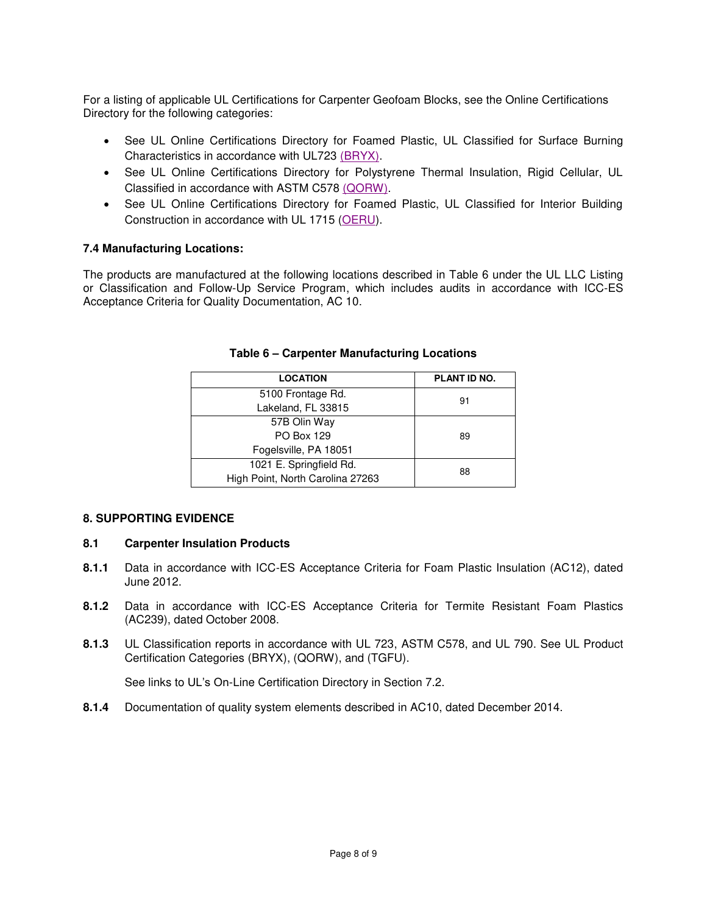For a listing of applicable UL Certifications for Carpenter Geofoam Blocks, see the Online Certifications Directory for the following categories:

- See UL Online Certifications Directory for Foamed Plastic, UL Classified for Surface Burning Characteristics in accordance with UL723 [\(BRYX\).](http://database.ul.com/cgi-bin/XYV/cgifind/LISEXT/1FRAME/srchres.html?collection=/data3/verity_collections/lisext&vdkhome=/data3/verity_sw_rev24/common&SORT_BY=textlines:asc,ccnshorttitle:asc&query=R11783%3cIN%3eFile_Number+and+BRYX%3cIN%3eCCN)
- See UL Online Certifications Directory for Polystyrene Thermal Insulation, Rigid Cellular, UL Classified in accordance with ASTM C578 [\(QORW\).](http://database.ul.com/cgi-bin/XYV/cgifind/LISEXT/1FRAME/srchres.html?collection=/data3/verity_collections/lisext&vdkhome=/data3/verity_sw_rev24/common&SORT_BY=textlines:asc,ccnshorttitle:asc&query=R11783%3cIN%3eFile_Number+and+QORW%3cIN%3eCCN)
- See UL Online Certifications Directory for Foamed Plastic, UL Classified for Interior Building Construction in accordance with UL 1715 [\(OERU\)](http://database.ul.com/cgi-bin/XYV/cgifind/LISEXT/1FRAME/srchres.html?collection=/data3/verity_collections/lisext&vdkhome=/data3/verity_sw_rev24/common&SORT_BY=textlines:asc,ccnshorttitle:asc&query=R11783%3cIN%3eFile_Number+and+OERU%3cIN%3eCCN).

## **7.4 Manufacturing Locations:**

The products are manufactured at the following locations described in Table 6 under the UL LLC Listing or Classification and Follow-Up Service Program, which includes audits in accordance with ICC-ES Acceptance Criteria for Quality Documentation, AC 10.

| <b>LOCATION</b>                  | <b>PLANT ID NO.</b> |  |
|----------------------------------|---------------------|--|
| 5100 Frontage Rd.                | 91                  |  |
| Lakeland, FL 33815               |                     |  |
| 57B Olin Way                     |                     |  |
| <b>PO Box 129</b>                | 89                  |  |
| Fogelsville, PA 18051            |                     |  |
| 1021 E. Springfield Rd.          | 88                  |  |
| High Point, North Carolina 27263 |                     |  |

#### **Table 6 – Carpenter Manufacturing Locations**

#### **8. SUPPORTING EVIDENCE**

## **8.1 Carpenter Insulation Products**

- **8.1.1** Data in accordance with ICC-ES Acceptance Criteria for Foam Plastic Insulation (AC12), dated June 2012.
- **8.1.2** Data in accordance with ICC-ES Acceptance Criteria for Termite Resistant Foam Plastics (AC239), dated October 2008.
- **8.1.3** UL Classification reports in accordance with UL 723, ASTM C578, and UL 790. See UL Product Certification Categories (BRYX), (QORW), and (TGFU).

See links to UL's On-Line Certification Directory in Section 7.2.

**8.1.4** Documentation of quality system elements described in AC10, dated December 2014.